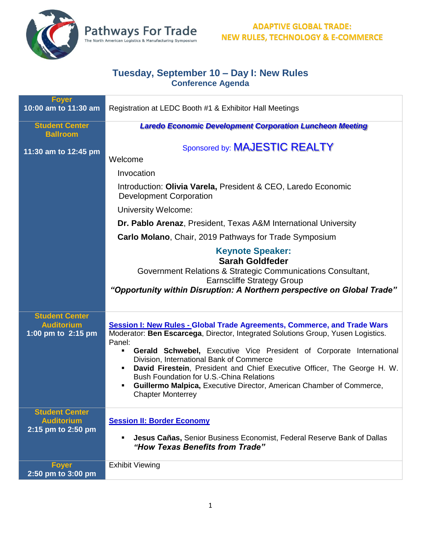

## **Tuesday, September 10 – Day I: New Rules Conference Agenda**

| <b>Foyer</b><br>10:00 am to 11:30 am                             | Registration at LEDC Booth #1 & Exhibitor Hall Meetings                                                                                                                                                                                                                                                                                                                                                                                                                                                                              |
|------------------------------------------------------------------|--------------------------------------------------------------------------------------------------------------------------------------------------------------------------------------------------------------------------------------------------------------------------------------------------------------------------------------------------------------------------------------------------------------------------------------------------------------------------------------------------------------------------------------|
| <b>Student Center</b><br><b>Ballroom</b>                         | <b>Laredo Economic Development Corporation Luncheon Meeting</b>                                                                                                                                                                                                                                                                                                                                                                                                                                                                      |
| 11:30 am to 12:45 pm                                             | Sponsored by: MAJESTIC REALTY<br>Welcome                                                                                                                                                                                                                                                                                                                                                                                                                                                                                             |
|                                                                  | Invocation                                                                                                                                                                                                                                                                                                                                                                                                                                                                                                                           |
|                                                                  | Introduction: Olivia Varela, President & CEO, Laredo Economic<br><b>Development Corporation</b>                                                                                                                                                                                                                                                                                                                                                                                                                                      |
|                                                                  | <b>University Welcome:</b>                                                                                                                                                                                                                                                                                                                                                                                                                                                                                                           |
|                                                                  | <b>Dr. Pablo Arenaz, President, Texas A&amp;M International University</b>                                                                                                                                                                                                                                                                                                                                                                                                                                                           |
|                                                                  | Carlo Molano, Chair, 2019 Pathways for Trade Symposium                                                                                                                                                                                                                                                                                                                                                                                                                                                                               |
|                                                                  | <b>Keynote Speaker:</b><br><b>Sarah Goldfeder</b><br>Government Relations & Strategic Communications Consultant,<br><b>Earnscliffe Strategy Group</b><br>"Opportunity within Disruption: A Northern perspective on Global Trade"                                                                                                                                                                                                                                                                                                     |
| <b>Student Center</b><br><b>Auditorium</b><br>1:00 pm to 2:15 pm | <b>Session I: New Rules - Global Trade Agreements, Commerce, and Trade Wars</b><br>Moderator: Ben Escarcega, Director, Integrated Solutions Group, Yusen Logistics.<br>Panel:<br><b>Gerald Schwebel, Executive Vice President of Corporate International</b><br>Division, International Bank of Commerce<br>David Firestein, President and Chief Executive Officer, The George H. W.<br>Bush Foundation for U.S.-China Relations<br>Guillermo Malpica, Executive Director, American Chamber of Commerce,<br><b>Chapter Monterrey</b> |
| <b>Student Center</b><br><b>Auditorium</b><br>2:15 pm to 2:50 pm | <b>Session II: Border Economy</b><br>Jesus Cañas, Senior Business Economist, Federal Reserve Bank of Dallas<br>"How Texas Benefits from Trade"                                                                                                                                                                                                                                                                                                                                                                                       |
| <b>Foyer</b><br>2:50 pm to 3:00 pm                               | <b>Exhibit Viewing</b>                                                                                                                                                                                                                                                                                                                                                                                                                                                                                                               |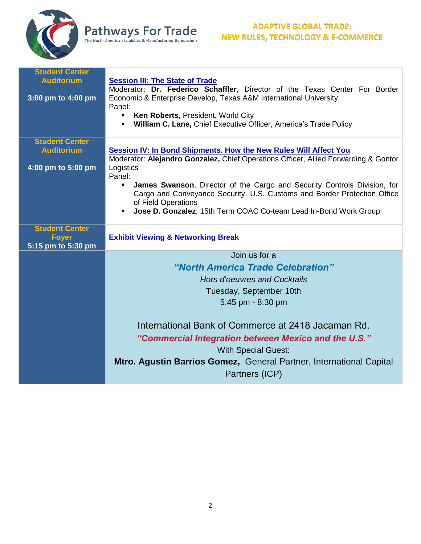

## **ADAPTIVE GLOBAL TRADE: NEW RULES, TECHNOLOGY & E-COMMERCE**

| <b>Student Center</b> |                                                                                                  |
|-----------------------|--------------------------------------------------------------------------------------------------|
| <b>Auditorium</b>     | <b>Session III: The State of Trade</b>                                                           |
|                       | Moderator: Dr. Federico Schaffler, Director of the Texas Center For Border                       |
| 3:00 pm to 4:00 pm    | Economic & Enterprise Develop, Texas A&M International University<br>Panel:                      |
|                       | Ken Roberts, President, World City                                                               |
|                       | William C. Lane, Chief Executive Officer, America's Trade Policy                                 |
|                       |                                                                                                  |
| <b>Student Center</b> |                                                                                                  |
| <b>Auditorium</b>     | Session IV: In Bond Shipments. How the New Rules Will Affect You                                 |
| 4:00 pm to 5:00 pm    | Moderator: Alejandro Gonzalez, Chief Operations Officer, Allied Forwarding & Gontor<br>Logistics |
|                       | Panel:                                                                                           |
|                       | James Swanson, Director of the Cargo and Security Controls Division, for<br>$\blacksquare$       |
|                       | Cargo and Conveyance Security, U.S. Customs and Border Protection Office                         |
|                       | of Field Operations                                                                              |
|                       | Jose D. Gonzalez, 15th Term COAC Co-team Lead In-Bond Work Group                                 |
|                       |                                                                                                  |
| <b>Student Center</b> |                                                                                                  |
| <b>Foyer</b>          | <b>Exhibit Viewing &amp; Networking Break</b>                                                    |
| 5:15 pm to 5:30 pm    |                                                                                                  |
|                       | Join us for a                                                                                    |
|                       | "North America Trade Celebration"                                                                |
|                       | <b>Hors d'oeuvres and Cocktails</b>                                                              |
|                       | Tuesday, September 10th                                                                          |
|                       | 5:45 pm - 8:30 pm                                                                                |
|                       |                                                                                                  |
|                       | International Bank of Commerce at 2418 Jacaman Rd.                                               |
|                       | "Commercial Integration between Mexico and the U.S."                                             |
|                       | <b>With Special Guest:</b>                                                                       |
|                       | Mtro. Agustin Barrios Gomez, General Partner, International Capital<br>Partners (ICP)            |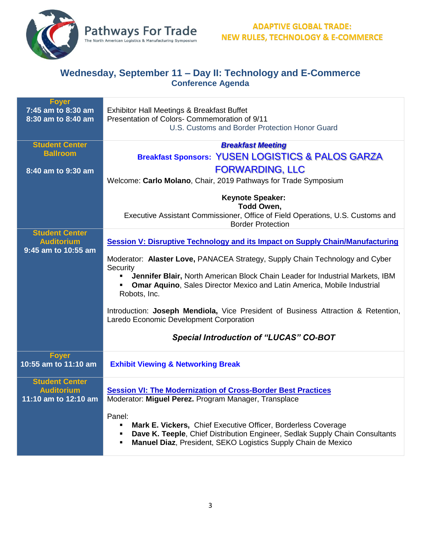

## **Wednesday, September 11 – Day II: Technology and E-Commerce Conference Agenda**

| <b>Foyer</b><br>7:45 am to 8:30 am<br>8:30 am to 8:40 am | Exhibitor Hall Meetings & Breakfast Buffet<br>Presentation of Colors- Commemoration of 9/11<br>U.S. Customs and Border Protection Honor Guard                                                                                 |
|----------------------------------------------------------|-------------------------------------------------------------------------------------------------------------------------------------------------------------------------------------------------------------------------------|
| <b>Student Center</b>                                    | <b>Breakfast Meeting</b>                                                                                                                                                                                                      |
| <b>Ballroom</b>                                          | <b>Breakfast Sponsors: YUSEN LOGISTICS &amp; PALOS GARZA</b>                                                                                                                                                                  |
| 8:40 am to 9:30 am                                       | <b>FORWARDING, LLC</b>                                                                                                                                                                                                        |
|                                                          | Welcome: Carlo Molano, Chair, 2019 Pathways for Trade Symposium                                                                                                                                                               |
|                                                          | <b>Keynote Speaker:</b><br><b>Todd Owen,</b><br>Executive Assistant Commissioner, Office of Field Operations, U.S. Customs and<br><b>Border Protection</b>                                                                    |
| <b>Student Center</b>                                    |                                                                                                                                                                                                                               |
| <b>Auditorium</b><br>9:45 am to 10:55 am                 | <b>Session V: Disruptive Technology and its Impact on Supply Chain/Manufacturing</b>                                                                                                                                          |
|                                                          | Moderator: Alaster Love, PANACEA Strategy, Supply Chain Technology and Cyber                                                                                                                                                  |
|                                                          | Security<br>Jennifer Blair, North American Block Chain Leader for Industrial Markets, IBM<br><b>Omar Aquino, Sales Director Mexico and Latin America, Mobile Industrial</b><br>Robots, Inc.                                   |
|                                                          | Introduction: Joseph Mendiola, Vice President of Business Attraction & Retention,<br>Laredo Economic Development Corporation                                                                                                  |
|                                                          | <b>Special Introduction of "LUCAS" CO-BOT</b>                                                                                                                                                                                 |
| <b>Foyer</b><br>10:55 am to 11:10 am                     | <b>Exhibit Viewing &amp; Networking Break</b>                                                                                                                                                                                 |
| <b>Student Center</b><br><b>Auditorium</b>               | <b>Session VI: The Modernization of Cross-Border Best Practices</b>                                                                                                                                                           |
| 11:10 am to 12:10 am                                     | Moderator: Miguel Perez. Program Manager, Transplace                                                                                                                                                                          |
|                                                          | Panel:<br>Mark E. Vickers, Chief Executive Officer, Borderless Coverage<br>Dave K. Teeple, Chief Distribution Engineer, Sedlak Supply Chain Consultants<br>٠<br>Manuel Diaz, President, SEKO Logistics Supply Chain de Mexico |